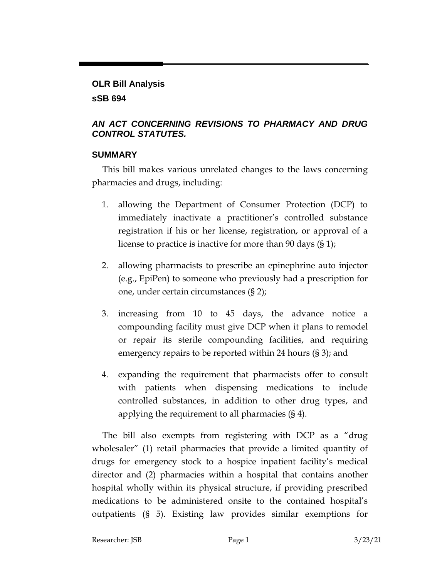### **OLR Bill Analysis sSB 694**

### *AN ACT CONCERNING REVISIONS TO PHARMACY AND DRUG CONTROL STATUTES.*

### **SUMMARY**

This bill makes various unrelated changes to the laws concerning pharmacies and drugs, including:

- 1. allowing the Department of Consumer Protection (DCP) to immediately inactivate a practitioner's controlled substance registration if his or her license, registration, or approval of a license to practice is inactive for more than 90 days (§ 1);
- 2. allowing pharmacists to prescribe an epinephrine auto injector (e.g., EpiPen) to someone who previously had a prescription for one, under certain circumstances (§ 2);
- 3. increasing from 10 to 45 days, the advance notice a compounding facility must give DCP when it plans to remodel or repair its sterile compounding facilities, and requiring emergency repairs to be reported within 24 hours (§ 3); and
- 4. expanding the requirement that pharmacists offer to consult with patients when dispensing medications to include controlled substances, in addition to other drug types, and applying the requirement to all pharmacies (§ 4).

The bill also exempts from registering with DCP as a "drug wholesaler" (1) retail pharmacies that provide a limited quantity of drugs for emergency stock to a hospice inpatient facility's medical director and (2) pharmacies within a hospital that contains another hospital wholly within its physical structure, if providing prescribed medications to be administered onsite to the contained hospital's outpatients (§ 5). Existing law provides similar exemptions for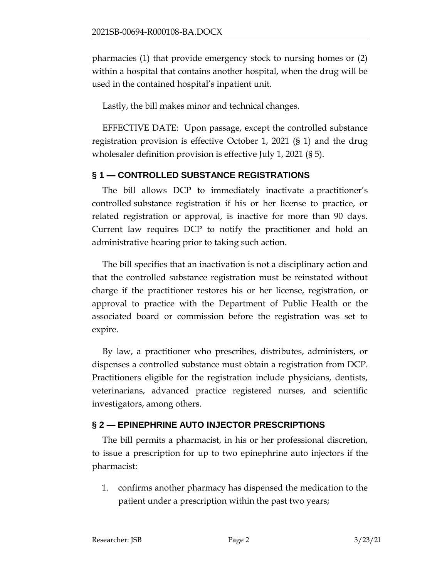pharmacies (1) that provide emergency stock to nursing homes or (2) within a hospital that contains another hospital, when the drug will be used in the contained hospital's inpatient unit.

Lastly, the bill makes minor and technical changes.

EFFECTIVE DATE: Upon passage, except the controlled substance registration provision is effective October 1, 2021 (§ 1) and the drug wholesaler definition provision is effective July 1, 2021 (§ 5).

## **§ 1 — CONTROLLED SUBSTANCE REGISTRATIONS**

The bill allows DCP to immediately inactivate a practitioner's controlled substance registration if his or her license to practice, or related registration or approval, is inactive for more than 90 days. Current law requires DCP to notify the practitioner and hold an administrative hearing prior to taking such action.

The bill specifies that an inactivation is not a disciplinary action and that the controlled substance registration must be reinstated without charge if the practitioner restores his or her license, registration, or approval to practice with the Department of Public Health or the associated board or commission before the registration was set to expire.

By law, a practitioner who prescribes, distributes, administers, or dispenses a controlled substance must obtain a registration from DCP. Practitioners eligible for the registration include physicians, dentists, veterinarians, advanced practice registered nurses, and scientific investigators, among others.

# **§ 2 — EPINEPHRINE AUTO INJECTOR PRESCRIPTIONS**

The bill permits a pharmacist, in his or her professional discretion, to issue a prescription for up to two epinephrine auto injectors if the pharmacist:

1. confirms another pharmacy has dispensed the medication to the patient under a prescription within the past two years;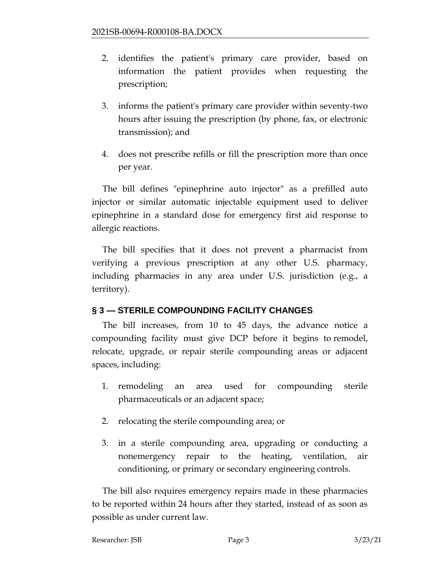- 2. identifies the patient's primary care provider, based on information the patient provides when requesting the prescription;
- 3. informs the patient's primary care provider within seventy-two hours after issuing the prescription (by phone, fax, or electronic transmission); and
- 4. does not prescribe refills or fill the prescription more than once per year.

The bill defines "epinephrine auto injector" as a prefilled auto injector or similar automatic injectable equipment used to deliver epinephrine in a standard dose for emergency first aid response to allergic reactions.

The bill specifies that it does not prevent a pharmacist from verifying a previous prescription at any other U.S. pharmacy, including pharmacies in any area under U.S. jurisdiction (e.g., a territory).

### **§ 3 — STERILE COMPOUNDING FACILITY CHANGES**

The bill increases, from 10 to 45 days, the advance notice a compounding facility must give DCP before it begins to remodel, relocate, upgrade, or repair sterile compounding areas or adjacent spaces, including:

- 1. remodeling an area used for compounding sterile pharmaceuticals or an adjacent space;
- 2. relocating the sterile compounding area; or
- 3. in a sterile compounding area, upgrading or conducting a nonemergency repair to the heating, ventilation, air conditioning, or primary or secondary engineering controls.

The bill also requires emergency repairs made in these pharmacies to be reported within 24 hours after they started, instead of as soon as possible as under current law.